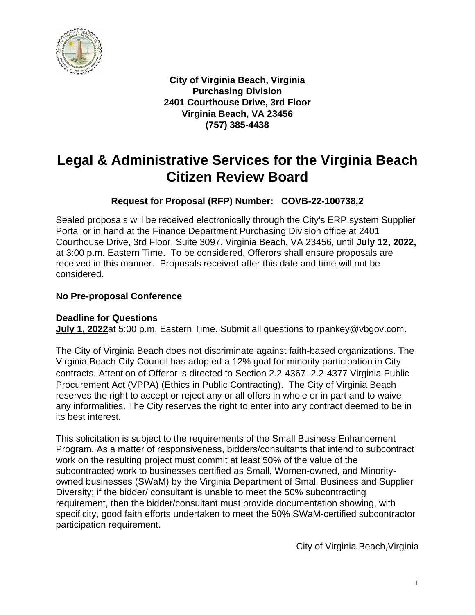

**City of Virginia Beach, Virginia Purchasing Division 2401 Courthouse Drive, 3rd Floor Virginia Beach, VA 23456 (757) 385-4438**

# **Legal & Administrative Services for the Virginia Beach Citizen Review Board**

# **Request for Proposal (RFP) Number: COVB-22-100738,2**

Sealed proposals will be received electronically through the City's ERP system Supplier Portal or in hand at the Finance Department Purchasing Division office at 2401 Courthouse Drive, 3rd Floor, Suite 3097, Virginia Beach, VA 23456, until **July 12, 2022,** at 3:00 p.m. Eastern Time. To be considered, Offerors shall ensure proposals are received in this manner. Proposals received after this date and time will not be considered.

# **No Pre-proposal Conference**

# **Deadline for Questions**

**July 1, 2022**at 5:00 p.m. Eastern Time. Submit all questions to rpankey@vbgov.com.

The City of Virginia Beach does not discriminate against faith-based organizations. The Virginia Beach City Council has adopted a 12% goal for minority participation in City contracts. Attention of Offeror is directed to Section 2.2-4367–2.2-4377 Virginia Public Procurement Act (VPPA) (Ethics in Public Contracting). The City of Virginia Beach reserves the right to accept or reject any or all offers in whole or in part and to waive any informalities. The City reserves the right to enter into any contract deemed to be in its best interest.

This solicitation is subject to the requirements of the Small Business Enhancement Program. As a matter of responsiveness, bidders/consultants that intend to subcontract work on the resulting project must commit at least 50% of the value of the subcontracted work to businesses certified as Small, Women-owned, and Minorityowned businesses (SWaM) by the Virginia Department of Small Business and Supplier Diversity; if the bidder/ consultant is unable to meet the 50% subcontracting requirement, then the bidder/consultant must provide documentation showing, with specificity, good faith efforts undertaken to meet the 50% SWaM-certified subcontractor participation requirement.

City of Virginia Beach,Virginia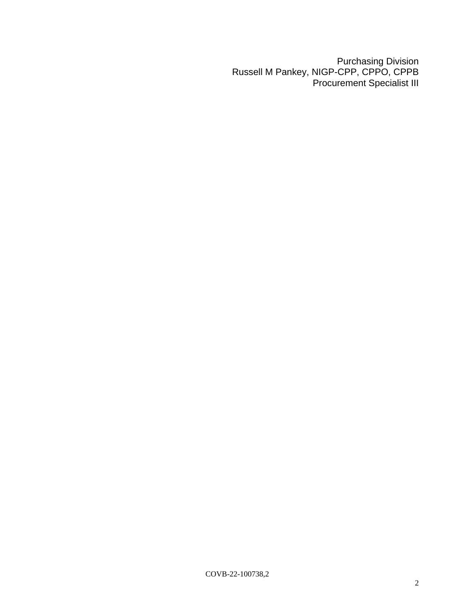Purchasing Division Russell M Pankey, NIGP-CPP, CPPO, CPPB Procurement Specialist III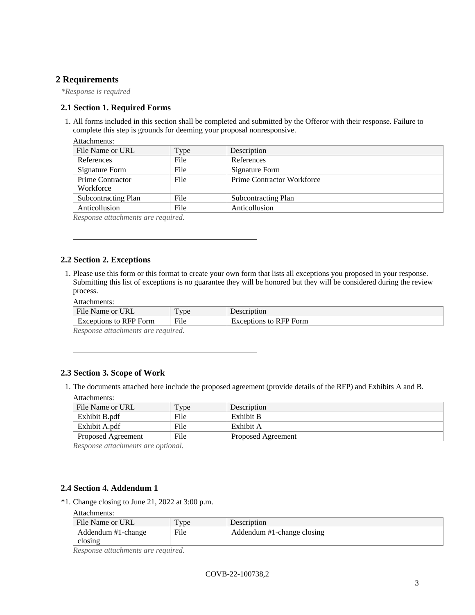### **2 Requirements**

*\*Response is required*

#### **2.1 Section 1. Required Forms**

1. All forms included in this section shall be completed and submitted by the Offeror with their response. Failure to complete this step is grounds for deeming your proposal nonresponsive.

| Attachments:               |      |                                   |  |
|----------------------------|------|-----------------------------------|--|
| File Name or URL           | Type | Description                       |  |
| References                 | File | References                        |  |
| Signature Form             | File | Signature Form                    |  |
| Prime Contractor           | File | <b>Prime Contractor Workforce</b> |  |
| Workforce                  |      |                                   |  |
| <b>Subcontracting Plan</b> | File | Subcontracting Plan               |  |
| Anticollusion              | File | Anticollusion                     |  |
|                            |      |                                   |  |

*Response attachments are required.*

### **2.2 Section 2. Exceptions**

1. Please use this form or this format to create your own form that lists all exceptions you proposed in your response. Submitting this list of exceptions is no guarantee they will be honored but they will be considered during the review process.

| Attachments: |
|--------------|
|              |

| File Name or URL                      | T <sub>VDE</sub> | Description                   |
|---------------------------------------|------------------|-------------------------------|
| <b>Exceptions to RFP Form</b>         | File             | <b>Exceptions to RFP Form</b> |
| Dean anno attacher que que no nominad |                  |                               |

*Response attachments are required.*

#### **2.3 Section 3. Scope of Work**

1. The documents attached here include the proposed agreement (provide details of the RFP) and Exhibits A and B.

| Attachments: |  |
|--------------|--|
|--------------|--|

| File Name or URL   | Type | Description        |
|--------------------|------|--------------------|
| Exhibit B.pdf      | File | Exhibit B          |
| Exhibit A.pdf      | File | Exhibit A          |
| Proposed Agreement | File | Proposed Agreement |

*Response attachments are optional.*

### **2.4 Section 4. Addendum 1**

\*1. Change closing to June 21, 2022 at 3:00 p.m.

Attachments:

| File Name or URL   | $_{\text{Type}}$ | Description                |
|--------------------|------------------|----------------------------|
| Addendum #1-change | File             | Addendum #1-change closing |
| closing            |                  |                            |

*Response attachments are required.*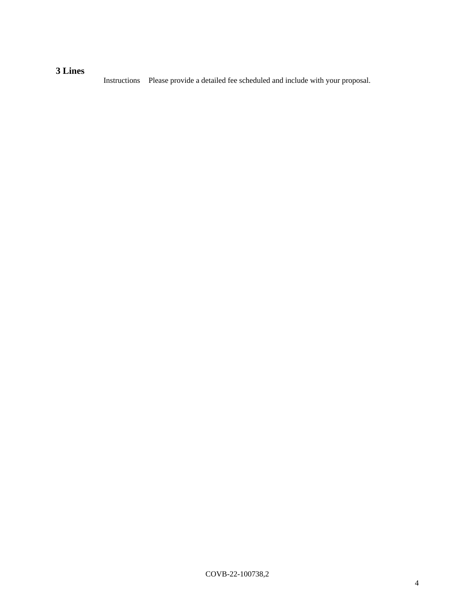# **3 Lines**

Instructions Please provide a detailed fee scheduled and include with your proposal.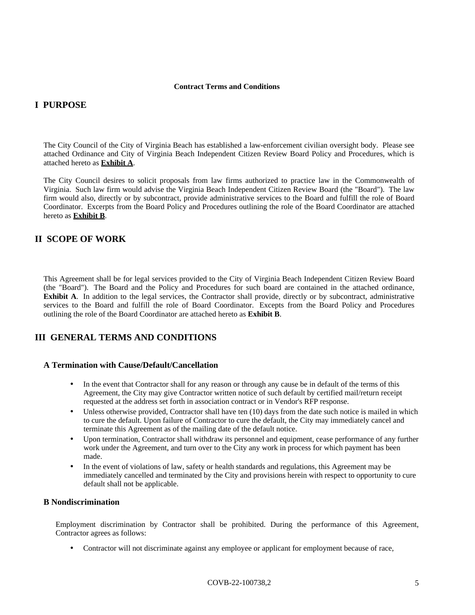#### **Contract Terms and Conditions**

### **I PURPOSE**

The City Council of the City of Virginia Beach has established a law-enforcement civilian oversight body. Please see attached Ordinance and City of Virginia Beach Independent Citizen Review Board Policy and Procedures, which is attached hereto as **Exhibit A**.

The City Council desires to solicit proposals from law firms authorized to practice law in the Commonwealth of Virginia. Such law firm would advise the Virginia Beach Independent Citizen Review Board (the "Board"). The law firm would also, directly or by subcontract, provide administrative services to the Board and fulfill the role of Board Coordinator. Excerpts from the Board Policy and Procedures outlining the role of the Board Coordinator are attached hereto as **Exhibit B**.

### **II SCOPE OF WORK**

This Agreement shall be for legal services provided to the City of Virginia Beach Independent Citizen Review Board (the "Board"). The Board and the Policy and Procedures for such board are contained in the attached ordinance, **Exhibit A**. In addition to the legal services, the Contractor shall provide, directly or by subcontract, administrative services to the Board and fulfill the role of Board Coordinator. Excepts from the Board Policy and Procedures outlining the role of the Board Coordinator are attached hereto as **Exhibit B**.

# **III GENERAL TERMS AND CONDITIONS**

#### **A Termination with Cause/Default/Cancellation**

- In the event that Contractor shall for any reason or through any cause be in default of the terms of this Agreement, the City may give Contractor written notice of such default by certified mail/return receipt requested at the address set forth in association contract or in Vendor's RFP response.
- Unless otherwise provided, Contractor shall have ten (10) days from the date such notice is mailed in which to cure the default. Upon failure of Contractor to cure the default, the City may immediately cancel and terminate this Agreement as of the mailing date of the default notice.
- Upon termination, Contractor shall withdraw its personnel and equipment, cease performance of any further work under the Agreement, and turn over to the City any work in process for which payment has been made.
- In the event of violations of law, safety or health standards and regulations, this Agreement may be immediately cancelled and terminated by the City and provisions herein with respect to opportunity to cure default shall not be applicable.

#### **B Nondiscrimination**

Employment discrimination by Contractor shall be prohibited. During the performance of this Agreement, Contractor agrees as follows:

• Contractor will not discriminate against any employee or applicant for employment because of race,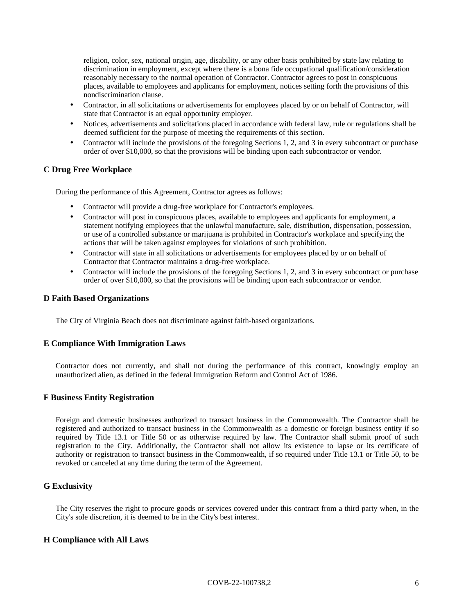religion, color, sex, national origin, age, disability, or any other basis prohibited by state law relating to discrimination in employment, except where there is a bona fide occupational qualification/consideration reasonably necessary to the normal operation of Contractor. Contractor agrees to post in conspicuous places, available to employees and applicants for employment, notices setting forth the provisions of this nondiscrimination clause.

- Contractor, in all solicitations or advertisements for employees placed by or on behalf of Contractor, will state that Contractor is an equal opportunity employer.
- Notices, advertisements and solicitations placed in accordance with federal law, rule or regulations shall be deemed sufficient for the purpose of meeting the requirements of this section.
- Contractor will include the provisions of the foregoing Sections 1, 2, and 3 in every subcontract or purchase order of over \$10,000, so that the provisions will be binding upon each subcontractor or vendor.

#### **C Drug Free Workplace**

During the performance of this Agreement, Contractor agrees as follows:

- Contractor will provide a drug-free workplace for Contractor's employees.
- Contractor will post in conspicuous places, available to employees and applicants for employment, a statement notifying employees that the unlawful manufacture, sale, distribution, dispensation, possession, or use of a controlled substance or marijuana is prohibited in Contractor's workplace and specifying the actions that will be taken against employees for violations of such prohibition.
- Contractor will state in all solicitations or advertisements for employees placed by or on behalf of Contractor that Contractor maintains a drug-free workplace.
- Contractor will include the provisions of the foregoing Sections 1, 2, and 3 in every subcontract or purchase order of over \$10,000, so that the provisions will be binding upon each subcontractor or vendor.

#### **D Faith Based Organizations**

The City of Virginia Beach does not discriminate against faith-based organizations.

#### **E Compliance With Immigration Laws**

Contractor does not currently, and shall not during the performance of this contract, knowingly employ an unauthorized alien, as defined in the federal Immigration Reform and Control Act of 1986.

#### **F Business Entity Registration**

Foreign and domestic businesses authorized to transact business in the Commonwealth. The Contractor shall be registered and authorized to transact business in the Commonwealth as a domestic or foreign business entity if so required by Title 13.1 or Title 50 or as otherwise required by law. The Contractor shall submit proof of such registration to the City. Additionally, the Contractor shall not allow its existence to lapse or its certificate of authority or registration to transact business in the Commonwealth, if so required under Title 13.1 or Title 50, to be revoked or canceled at any time during the term of the Agreement.

#### **G Exclusivity**

The City reserves the right to procure goods or services covered under this contract from a third party when, in the City's sole discretion, it is deemed to be in the City's best interest.

#### **H Compliance with All Laws**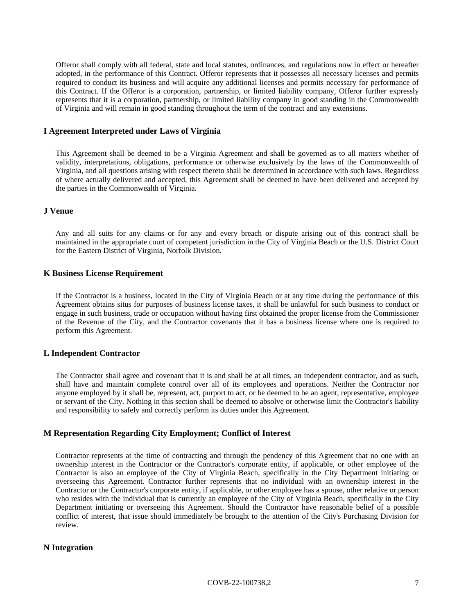Offeror shall comply with all federal, state and local statutes, ordinances, and regulations now in effect or hereafter adopted, in the performance of this Contract. Offeror represents that it possesses all necessary licenses and permits required to conduct its business and will acquire any additional licenses and permits necessary for performance of this Contract. If the Offeror is a corporation, partnership, or limited liability company, Offeror further expressly represents that it is a corporation, partnership, or limited liability company in good standing in the Commonwealth of Virginia and will remain in good standing throughout the term of the contract and any extensions.

#### **I Agreement Interpreted under Laws of Virginia**

This Agreement shall be deemed to be a Virginia Agreement and shall be governed as to all matters whether of validity, interpretations, obligations, performance or otherwise exclusively by the laws of the Commonwealth of Virginia, and all questions arising with respect thereto shall be determined in accordance with such laws. Regardless of where actually delivered and accepted, this Agreement shall be deemed to have been delivered and accepted by the parties in the Commonwealth of Virginia.

#### **J Venue**

Any and all suits for any claims or for any and every breach or dispute arising out of this contract shall be maintained in the appropriate court of competent jurisdiction in the City of Virginia Beach or the U.S. District Court for the Eastern District of Virginia, Norfolk Division.

#### **K Business License Requirement**

If the Contractor is a business, located in the City of Virginia Beach or at any time during the performance of this Agreement obtains situs for purposes of business license taxes, it shall be unlawful for such business to conduct or engage in such business, trade or occupation without having first obtained the proper license from the Commissioner of the Revenue of the City, and the Contractor covenants that it has a business license where one is required to perform this Agreement.

#### **L Independent Contractor**

The Contractor shall agree and covenant that it is and shall be at all times, an independent contractor, and as such, shall have and maintain complete control over all of its employees and operations. Neither the Contractor nor anyone employed by it shall be, represent, act, purport to act, or be deemed to be an agent, representative, employee or servant of the City. Nothing in this section shall be deemed to absolve or otherwise limit the Contractor's liability and responsibility to safely and correctly perform its duties under this Agreement.

#### **M Representation Regarding City Employment; Conflict of Interest**

Contractor represents at the time of contracting and through the pendency of this Agreement that no one with an ownership interest in the Contractor or the Contractor's corporate entity, if applicable, or other employee of the Contractor is also an employee of the City of Virginia Beach, specifically in the City Department initiating or overseeing this Agreement. Contractor further represents that no individual with an ownership interest in the Contractor or the Contractor's corporate entity, if applicable, or other employee has a spouse, other relative or person who resides with the individual that is currently an employee of the City of Virginia Beach, specifically in the City Department initiating or overseeing this Agreement. Should the Contractor have reasonable belief of a possible conflict of interest, that issue should immediately be brought to the attention of the City's Purchasing Division for review.

#### **N Integration**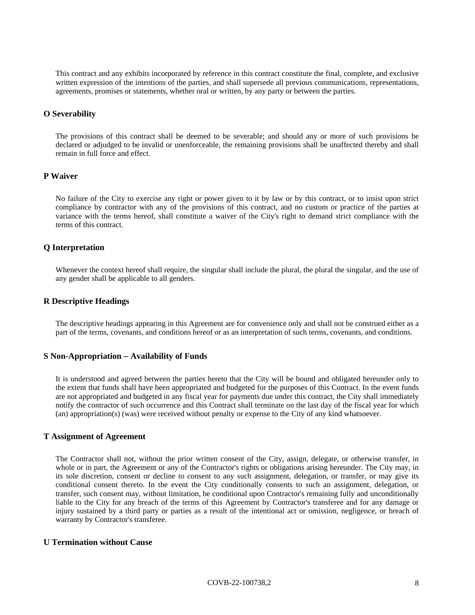This contract and any exhibits incorporated by reference in this contract constitute the final, complete, and exclusive written expression of the intentions of the parties, and shall supersede all previous communications, representations, agreements, promises or statements, whether oral or written, by any party or between the parties.

#### **O Severability**

The provisions of this contract shall be deemed to be severable; and should any or more of such provisions be declared or adjudged to be invalid or unenforceable, the remaining provisions shall be unaffected thereby and shall remain in full force and effect.

#### **P Waiver**

No failure of the City to exercise any right or power given to it by law or by this contract, or to insist upon strict compliance by contractor with any of the provisions of this contract, and no custom or practice of the parties at variance with the terms hereof, shall constitute a waiver of the City's right to demand strict compliance with the terms of this contract.

#### **Q Interpretation**

Whenever the context hereof shall require, the singular shall include the plural, the plural the singular, and the use of any gender shall be applicable to all genders.

#### **R Descriptive Headings**

The descriptive headings appearing in this Agreement are for convenience only and shall not be construed either as a part of the terms, covenants, and conditions hereof or as an interpretation of such terms, covenants, and conditions.

#### **S Non-Appropriation** – **Availability of Funds**

It is understood and agreed between the parties hereto that the City will be bound and obligated hereunder only to the extent that funds shall have been appropriated and budgeted for the purposes of this Contract. In the event funds are not appropriated and budgeted in any fiscal year for payments due under this contract, the City shall immediately notify the contractor of such occurrence and this Contract shall terminate on the last day of the fiscal year for which (an) appropriation(s) (was) were received without penalty or expense to the City of any kind whatsoever.

#### **T Assignment of Agreement**

The Contractor shall not, without the prior written consent of the City, assign, delegate, or otherwise transfer, in whole or in part, the Agreement or any of the Contractor's rights or obligations arising hereunder. The City may, in its sole discretion, consent or decline to consent to any such assignment, delegation, or transfer, or may give its conditional consent thereto. In the event the City conditionally consents to such an assignment, delegation, or transfer, such consent may, without limitation, be conditional upon Contractor's remaining fully and unconditionally liable to the City for any breach of the terms of this Agreement by Contractor's transferee and for any damage or injury sustained by a third party or parties as a result of the intentional act or omission, negligence, or breach of warranty by Contractor's transferee.

#### **U Termination without Cause**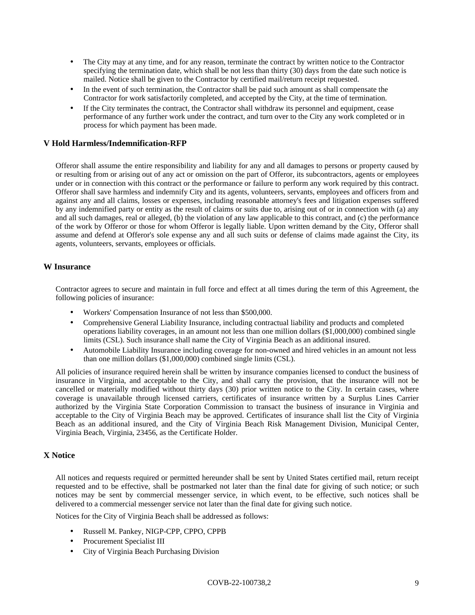- The City may at any time, and for any reason, terminate the contract by written notice to the Contractor specifying the termination date, which shall be not less than thirty (30) days from the date such notice is mailed. Notice shall be given to the Contractor by certified mail/return receipt requested.
- In the event of such termination, the Contractor shall be paid such amount as shall compensate the Contractor for work satisfactorily completed, and accepted by the City, at the time of termination.
- If the City terminates the contract, the Contractor shall withdraw its personnel and equipment, cease performance of any further work under the contract, and turn over to the City any work completed or in process for which payment has been made.

#### **V Hold Harmless/Indemnification-RFP**

Offeror shall assume the entire responsibility and liability for any and all damages to persons or property caused by or resulting from or arising out of any act or omission on the part of Offeror, its subcontractors, agents or employees under or in connection with this contract or the performance or failure to perform any work required by this contract. Offeror shall save harmless and indemnify City and its agents, volunteers, servants, employees and officers from and against any and all claims, losses or expenses, including reasonable attorney's fees and litigation expenses suffered by any indemnified party or entity as the result of claims or suits due to, arising out of or in connection with (a) any and all such damages, real or alleged, (b) the violation of any law applicable to this contract, and (c) the performance of the work by Offeror or those for whom Offeror is legally liable. Upon written demand by the City, Offeror shall assume and defend at Offeror's sole expense any and all such suits or defense of claims made against the City, its agents, volunteers, servants, employees or officials.

#### **W Insurance**

Contractor agrees to secure and maintain in full force and effect at all times during the term of this Agreement, the following policies of insurance:

- Workers' Compensation Insurance of not less than \$500,000.
- Comprehensive General Liability Insurance, including contractual liability and products and completed operations liability coverages, in an amount not less than one million dollars (\$1,000,000) combined single limits (CSL). Such insurance shall name the City of Virginia Beach as an additional insured.
- Automobile Liability Insurance including coverage for non-owned and hired vehicles in an amount not less than one million dollars (\$1,000,000) combined single limits (CSL).

All policies of insurance required herein shall be written by insurance companies licensed to conduct the business of insurance in Virginia, and acceptable to the City, and shall carry the provision, that the insurance will not be cancelled or materially modified without thirty days (30) prior written notice to the City. In certain cases, where coverage is unavailable through licensed carriers, certificates of insurance written by a Surplus Lines Carrier authorized by the Virginia State Corporation Commission to transact the business of insurance in Virginia and acceptable to the City of Virginia Beach may be approved. Certificates of insurance shall list the City of Virginia Beach as an additional insured, and the City of Virginia Beach Risk Management Division, Municipal Center, Virginia Beach, Virginia, 23456, as the Certificate Holder.

#### **X Notice**

All notices and requests required or permitted hereunder shall be sent by United States certified mail, return receipt requested and to be effective, shall be postmarked not later than the final date for giving of such notice; or such notices may be sent by commercial messenger service, in which event, to be effective, such notices shall be delivered to a commercial messenger service not later than the final date for giving such notice.

Notices for the City of Virginia Beach shall be addressed as follows:

- Russell M. Pankey, NIGP-CPP, CPPO, CPPB
- Procurement Specialist III
- City of Virginia Beach Purchasing Division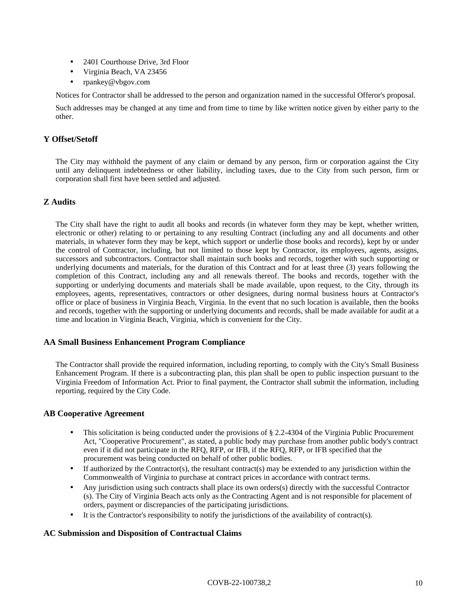- 2401 Courthouse Drive, 3rd Floor
- Virginia Beach, VA 23456
- rpankey@vbgov.com

Notices for Contractor shall be addressed to the person and organization named in the successful Offeror's proposal.

Such addresses may be changed at any time and from time to time by like written notice given by either party to the other.

#### **Y Offset/Setoff**

The City may withhold the payment of any claim or demand by any person, firm or corporation against the City until any delinquent indebtedness or other liability, including taxes, due to the City from such person, firm or corporation shall first have been settled and adjusted.

#### **Z Audits**

The City shall have the right to audit all books and records (in whatever form they may be kept, whether written, electronic or other) relating to or pertaining to any resulting Contract (including any and all documents and other materials, in whatever form they may be kept, which support or underlie those books and records), kept by or under the control of Contractor, including, but not limited to those kept by Contractor, its employees, agents, assigns, successors and subcontractors. Contractor shall maintain such books and records, together with such supporting or underlying documents and materials, for the duration of this Contract and for at least three (3) years following the completion of this Contract, including any and all renewals thereof. The books and records, together with the supporting or underlying documents and materials shall be made available, upon request, to the City, through its employees, agents, representatives, contractors or other designees, during normal business hours at Contractor's office or place of business in Virginia Beach, Virginia. In the event that no such location is available, then the books and records, together with the supporting or underlying documents and records, shall be made available for audit at a time and location in Virginia Beach, Virginia, which is convenient for the City.

#### **AA Small Business Enhancement Program Compliance**

The Contractor shall provide the required information, including reporting, to comply with the City's Small Business Enhancement Program. If there is a subcontracting plan, this plan shall be open to public inspection pursuant to the Virginia Freedom of Information Act. Prior to final payment, the Contractor shall submit the information, including reporting, required by the City Code.

#### **AB Cooperative Agreement**

- This solicitation is being conducted under the provisions of § 2.2-4304 of the Virginia Public Procurement Act, "Cooperative Procurement", as stated, a public body may purchase from another public body's contract even if it did not participate in the RFQ, RFP, or IFB, if the RFQ, RFP, or IFB specified that the procurement was being conducted on behalf of other public bodies.
- If authorized by the Contractor(s), the resultant contract(s) may be extended to any jurisdiction within the Commonwealth of Virginia to purchase at contract prices in accordance with contract terms.
- Any jurisdiction using such contracts shall place its own orders(s) directly with the successful Contractor (s). The City of Virginia Beach acts only as the Contracting Agent and is not responsible for placement of orders, payment or discrepancies of the participating jurisdictions.
- It is the Contractor's responsibility to notify the jurisdictions of the availability of contract(s).

#### **AC Submission and Disposition of Contractual Claims**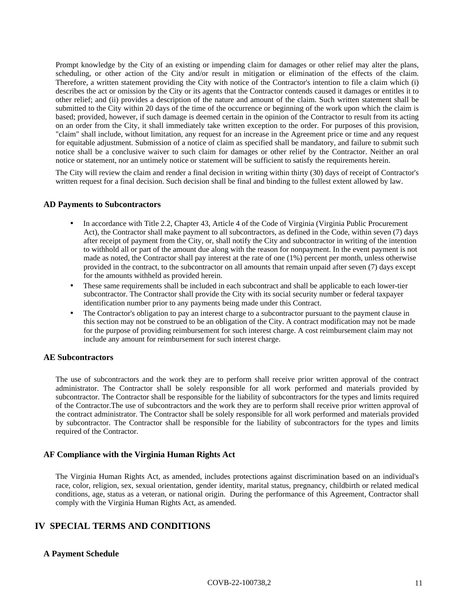Prompt knowledge by the City of an existing or impending claim for damages or other relief may alter the plans, scheduling, or other action of the City and/or result in mitigation or elimination of the effects of the claim. Therefore, a written statement providing the City with notice of the Contractor's intention to file a claim which (i) describes the act or omission by the City or its agents that the Contractor contends caused it damages or entitles it to other relief; and (ii) provides a description of the nature and amount of the claim. Such written statement shall be submitted to the City within 20 days of the time of the occurrence or beginning of the work upon which the claim is based; provided, however, if such damage is deemed certain in the opinion of the Contractor to result from its acting on an order from the City, it shall immediately take written exception to the order. For purposes of this provision, "claim" shall include, without limitation, any request for an increase in the Agreement price or time and any request for equitable adjustment. Submission of a notice of claim as specified shall be mandatory, and failure to submit such notice shall be a conclusive waiver to such claim for damages or other relief by the Contractor. Neither an oral notice or statement, nor an untimely notice or statement will be sufficient to satisfy the requirements herein.

The City will review the claim and render a final decision in writing within thirty (30) days of receipt of Contractor's written request for a final decision. Such decision shall be final and binding to the fullest extent allowed by law.

#### **AD Payments to Subcontractors**

- In accordance with Title 2.2, Chapter 43, Article 4 of the Code of Virginia (Virginia Public Procurement Act), the Contractor shall make payment to all subcontractors, as defined in the Code, within seven (7) days after receipt of payment from the City, or, shall notify the City and subcontractor in writing of the intention to withhold all or part of the amount due along with the reason for nonpayment. In the event payment is not made as noted, the Contractor shall pay interest at the rate of one (1%) percent per month, unless otherwise provided in the contract, to the subcontractor on all amounts that remain unpaid after seven (7) days except for the amounts withheld as provided herein.
- These same requirements shall be included in each subcontract and shall be applicable to each lower-tier subcontractor. The Contractor shall provide the City with its social security number or federal taxpayer identification number prior to any payments being made under this Contract.
- The Contractor's obligation to pay an interest charge to a subcontractor pursuant to the payment clause in this section may not be construed to be an obligation of the City. A contract modification may not be made for the purpose of providing reimbursement for such interest charge. A cost reimbursement claim may not include any amount for reimbursement for such interest charge.

#### **AE Subcontractors**

The use of subcontractors and the work they are to perform shall receive prior written approval of the contract administrator. The Contractor shall be solely responsible for all work performed and materials provided by subcontractor. The Contractor shall be responsible for the liability of subcontractors for the types and limits required of the Contractor.The use of subcontractors and the work they are to perform shall receive prior written approval of the contract administrator. The Contractor shall be solely responsible for all work performed and materials provided by subcontractor. The Contractor shall be responsible for the liability of subcontractors for the types and limits required of the Contractor.

#### **AF Compliance with the Virginia Human Rights Act**

The Virginia Human Rights Act, as amended, includes protections against discrimination based on an individual's race, color, religion, sex, sexual orientation, gender identity, marital status, pregnancy, childbirth or related medical conditions, age, status as a veteran, or national origin. During the performance of this Agreement, Contractor shall comply with the Virginia Human Rights Act, as amended.

# **IV SPECIAL TERMS AND CONDITIONS**

#### **A Payment Schedule**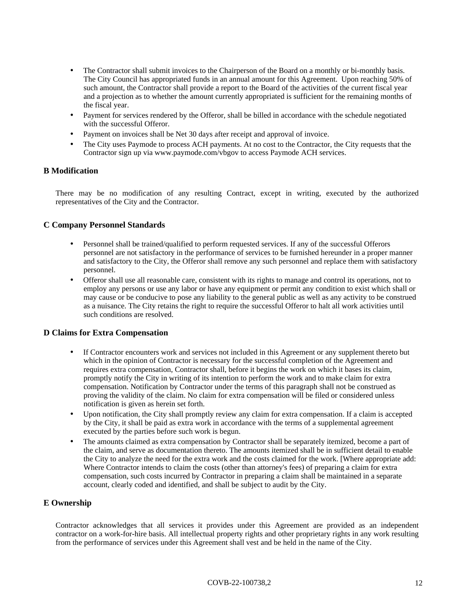- The Contractor shall submit invoices to the Chairperson of the Board on a monthly or bi-monthly basis. The City Council has appropriated funds in an annual amount for this Agreement. Upon reaching 50% of such amount, the Contractor shall provide a report to the Board of the activities of the current fiscal year and a projection as to whether the amount currently appropriated is sufficient for the remaining months of the fiscal year.
- Payment for services rendered by the Offeror, shall be billed in accordance with the schedule negotiated with the successful Offeror.
- Payment on invoices shall be Net 30 days after receipt and approval of invoice.
- The City uses Paymode to process ACH payments. At no cost to the Contractor, the City requests that the Contractor sign up via www.paymode.com/vbgov to access Paymode ACH services.

#### **B Modification**

There may be no modification of any resulting Contract, except in writing, executed by the authorized representatives of the City and the Contractor.

#### **C Company Personnel Standards**

- Personnel shall be trained/qualified to perform requested services. If any of the successful Offerors personnel are not satisfactory in the performance of services to be furnished hereunder in a proper manner and satisfactory to the City, the Offeror shall remove any such personnel and replace them with satisfactory personnel.
- Offeror shall use all reasonable care, consistent with its rights to manage and control its operations, not to employ any persons or use any labor or have any equipment or permit any condition to exist which shall or may cause or be conducive to pose any liability to the general public as well as any activity to be construed as a nuisance. The City retains the right to require the successful Offeror to halt all work activities until such conditions are resolved.

#### **D Claims for Extra Compensation**

- If Contractor encounters work and services not included in this Agreement or any supplement thereto but which in the opinion of Contractor is necessary for the successful completion of the Agreement and requires extra compensation, Contractor shall, before it begins the work on which it bases its claim, promptly notify the City in writing of its intention to perform the work and to make claim for extra compensation. Notification by Contractor under the terms of this paragraph shall not be construed as proving the validity of the claim. No claim for extra compensation will be filed or considered unless notification is given as herein set forth.
- Upon notification, the City shall promptly review any claim for extra compensation. If a claim is accepted by the City, it shall be paid as extra work in accordance with the terms of a supplemental agreement executed by the parties before such work is begun.
- The amounts claimed as extra compensation by Contractor shall be separately itemized, become a part of the claim, and serve as documentation thereto. The amounts itemized shall be in sufficient detail to enable the City to analyze the need for the extra work and the costs claimed for the work. [Where appropriate add: Where Contractor intends to claim the costs (other than attorney's fees) of preparing a claim for extra compensation, such costs incurred by Contractor in preparing a claim shall be maintained in a separate account, clearly coded and identified, and shall be subject to audit by the City.

#### **E Ownership**

Contractor acknowledges that all services it provides under this Agreement are provided as an independent contractor on a work-for-hire basis. All intellectual property rights and other proprietary rights in any work resulting from the performance of services under this Agreement shall vest and be held in the name of the City.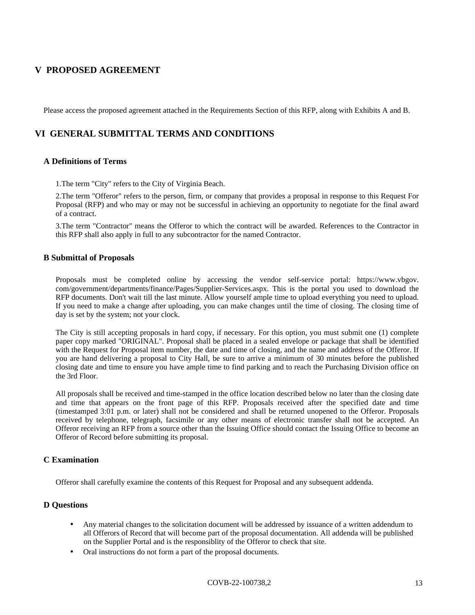# **V PROPOSED AGREEMENT**

Please access the proposed agreement attached in the Requirements Section of this RFP, along with Exhibits A and B.

# **VI GENERAL SUBMITTAL TERMS AND CONDITIONS**

#### **A Definitions of Terms**

1.The term "City" refers to the City of Virginia Beach.

2.The term "Offeror" refers to the person, firm, or company that provides a proposal in response to this Request For Proposal (RFP) and who may or may not be successful in achieving an opportunity to negotiate for the final award of a contract.

3.The term "Contractor" means the Offeror to which the contract will be awarded. References to the Contractor in this RFP shall also apply in full to any subcontractor for the named Contractor.

#### **B Submittal of Proposals**

Proposals must be completed online by accessing the vendor self-service portal: https://www.vbgov. com/government/departments/finance/Pages/Supplier-Services.aspx. This is the portal you used to download the RFP documents. Don't wait till the last minute. Allow yourself ample time to upload everything you need to upload. If you need to make a change after uploading, you can make changes until the time of closing. The closing time of day is set by the system; not your clock.

The City is still accepting proposals in hard copy, if necessary. For this option, you must submit one (1) complete paper copy marked "ORIGINAL". Proposal shall be placed in a sealed envelope or package that shall be identified with the Request for Proposal item number, the date and time of closing, and the name and address of the Offeror. If you are hand delivering a proposal to City Hall, be sure to arrive a minimum of 30 minutes before the published closing date and time to ensure you have ample time to find parking and to reach the Purchasing Division office on the 3rd Floor.

All proposals shall be received and time-stamped in the office location described below no later than the closing date and time that appears on the front page of this RFP. Proposals received after the specified date and time (timestamped 3:01 p.m. or later) shall not be considered and shall be returned unopened to the Offeror. Proposals received by telephone, telegraph, facsimile or any other means of electronic transfer shall not be accepted. An Offeror receiving an RFP from a source other than the Issuing Office should contact the Issuing Office to become an Offeror of Record before submitting its proposal.

#### **C Examination**

Offeror shall carefully examine the contents of this Request for Proposal and any subsequent addenda.

#### **D Questions**

- Any material changes to the solicitation document will be addressed by issuance of a written addendum to all Offerors of Record that will become part of the proposal documentation. All addenda will be published on the Supplier Portal and is the responsiblity of the Offeror to check that site.
- Oral instructions do not form a part of the proposal documents.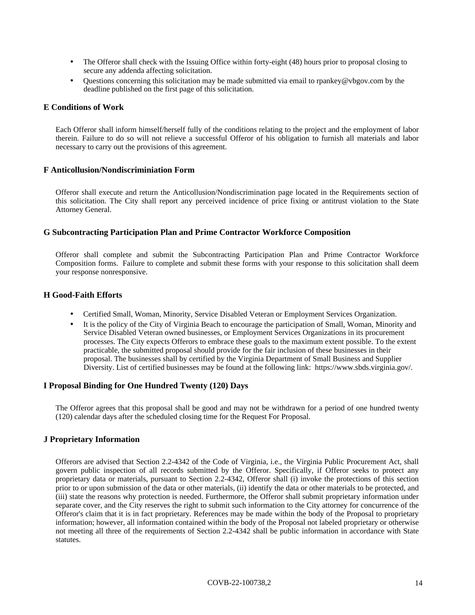- The Offeror shall check with the Issuing Office within forty-eight (48) hours prior to proposal closing to secure any addenda affecting solicitation.
- Questions concerning this solicitation may be made submitted via email to rpankey@vbgov.com by the deadline published on the first page of this solicitation.

#### **E Conditions of Work**

Each Offeror shall inform himself/herself fully of the conditions relating to the project and the employment of labor therein. Failure to do so will not relieve a successful Offeror of his obligation to furnish all materials and labor necessary to carry out the provisions of this agreement.

#### **F Anticollusion/Nondiscriminiation Form**

Offeror shall execute and return the Anticollusion/Nondiscrimination page located in the Requirements section of this solicitation. The City shall report any perceived incidence of price fixing or antitrust violation to the State Attorney General.

#### **G Subcontracting Participation Plan and Prime Contractor Workforce Composition**

Offeror shall complete and submit the Subcontracting Participation Plan and Prime Contractor Workforce Composition forms. Failure to complete and submit these forms with your response to this solicitation shall deem your response nonresponsive.

#### **H Good-Faith Efforts**

- Certified Small, Woman, Minority, Service Disabled Veteran or Employment Services Organization.
- It is the policy of the City of Virginia Beach to encourage the participation of Small, Woman, Minority and Service Disabled Veteran owned businesses, or Employment Services Organizations in its procurement processes. The City expects Offerors to embrace these goals to the maximum extent possible. To the extent practicable, the submitted proposal should provide for the fair inclusion of these businesses in their proposal. The businesses shall by certified by the Virginia Department of Small Business and Supplier Diversity. List of certified businesses may be found at the following link: https://www.sbds.virginia.gov/.

#### **I Proposal Binding for One Hundred Twenty (120) Days**

The Offeror agrees that this proposal shall be good and may not be withdrawn for a period of one hundred twenty (120) calendar days after the scheduled closing time for the Request For Proposal.

#### **J Proprietary Information**

Offerors are advised that Section 2.2-4342 of the Code of Virginia, i.e., the Virginia Public Procurement Act, shall govern public inspection of all records submitted by the Offeror. Specifically, if Offeror seeks to protect any proprietary data or materials, pursuant to Section 2.2-4342, Offeror shall (i) invoke the protections of this section prior to or upon submission of the data or other materials, (ii) identify the data or other materials to be protected, and (iii) state the reasons why protection is needed. Furthermore, the Offeror shall submit proprietary information under separate cover, and the City reserves the right to submit such information to the City attorney for concurrence of the Offeror's claim that it is in fact proprietary. References may be made within the body of the Proposal to proprietary information; however, all information contained within the body of the Proposal not labeled proprietary or otherwise not meeting all three of the requirements of Section 2.2-4342 shall be public information in accordance with State statutes.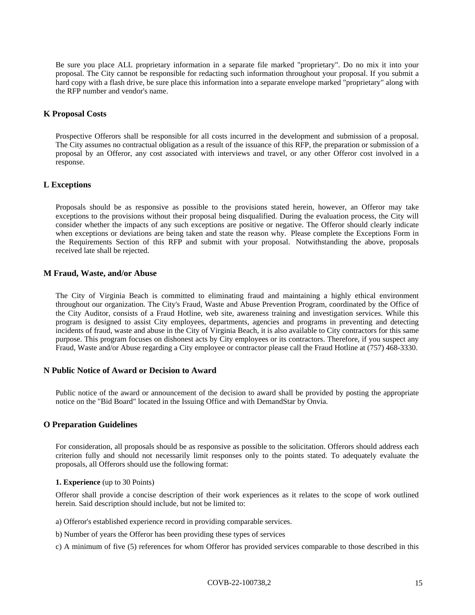Be sure you place ALL proprietary information in a separate file marked "proprietary". Do no mix it into your proposal. The City cannot be responsible for redacting such information throughout your proposal. If you submit a hard copy with a flash drive, be sure place this information into a separate envelope marked "proprietary" along with the RFP number and vendor's name.

#### **K Proposal Costs**

Prospective Offerors shall be responsible for all costs incurred in the development and submission of a proposal. The City assumes no contractual obligation as a result of the issuance of this RFP, the preparation or submission of a proposal by an Offeror, any cost associated with interviews and travel, or any other Offeror cost involved in a response.

#### **L Exceptions**

Proposals should be as responsive as possible to the provisions stated herein, however, an Offeror may take exceptions to the provisions without their proposal being disqualified. During the evaluation process, the City will consider whether the impacts of any such exceptions are positive or negative. The Offeror should clearly indicate when exceptions or deviations are being taken and state the reason why. Please complete the Exceptions Form in the Requirements Section of this RFP and submit with your proposal. Notwithstanding the above, proposals received late shall be rejected.

#### **M Fraud, Waste, and/or Abuse**

The City of Virginia Beach is committed to eliminating fraud and maintaining a highly ethical environment throughout our organization. The City's Fraud, Waste and Abuse Prevention Program, coordinated by the Office of the City Auditor, consists of a Fraud Hotline, web site, awareness training and investigation services. While this program is designed to assist City employees, departments, agencies and programs in preventing and detecting incidents of fraud, waste and abuse in the City of Virginia Beach, it is also available to City contractors for this same purpose. This program focuses on dishonest acts by City employees or its contractors. Therefore, if you suspect any Fraud, Waste and/or Abuse regarding a City employee or contractor please call the Fraud Hotline at (757) 468-3330.

#### **N Public Notice of Award or Decision to Award**

Public notice of the award or announcement of the decision to award shall be provided by posting the appropriate notice on the "Bid Board" located in the Issuing Office and with DemandStar by Onvia.

#### **O Preparation Guidelines**

For consideration, all proposals should be as responsive as possible to the solicitation. Offerors should address each criterion fully and should not necessarily limit responses only to the points stated. To adequately evaluate the proposals, all Offerors should use the following format:

#### **1. Experience** (up to 30 Points)

Offeror shall provide a concise description of their work experiences as it relates to the scope of work outlined herein. Said description should include, but not be limited to:

- a) Offeror's established experience record in providing comparable services.
- b) Number of years the Offeror has been providing these types of services
- c) A minimum of five (5) references for whom Offeror has provided services comparable to those described in this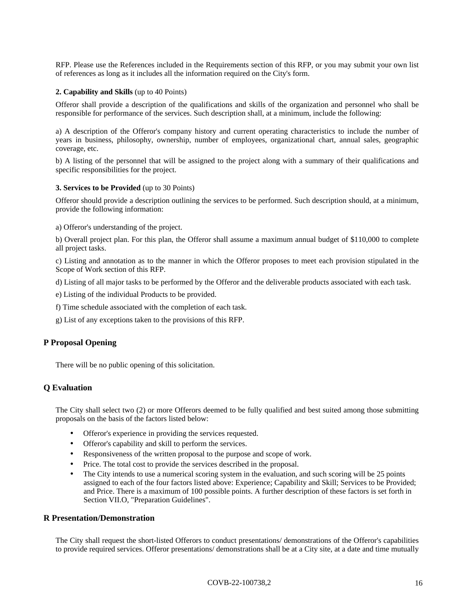RFP. Please use the References included in the Requirements section of this RFP, or you may submit your own list of references as long as it includes all the information required on the City's form.

#### **2. Capability and Skills** (up to 40 Points)

Offeror shall provide a description of the qualifications and skills of the organization and personnel who shall be responsible for performance of the services. Such description shall, at a minimum, include the following:

a) A description of the Offeror's company history and current operating characteristics to include the number of years in business, philosophy, ownership, number of employees, organizational chart, annual sales, geographic coverage, etc.

b) A listing of the personnel that will be assigned to the project along with a summary of their qualifications and specific responsibilities for the project.

#### **3. Services to be Provided** (up to 30 Points)

Offeror should provide a description outlining the services to be performed. Such description should, at a minimum, provide the following information:

a) Offeror's understanding of the project.

b) Overall project plan. For this plan, the Offeror shall assume a maximum annual budget of \$110,000 to complete all project tasks.

c) Listing and annotation as to the manner in which the Offeror proposes to meet each provision stipulated in the Scope of Work section of this RFP.

d) Listing of all major tasks to be performed by the Offeror and the deliverable products associated with each task.

e) Listing of the individual Products to be provided.

f) Time schedule associated with the completion of each task.

g) List of any exceptions taken to the provisions of this RFP.

#### **P Proposal Opening**

There will be no public opening of this solicitation.

#### **Q Evaluation**

The City shall select two (2) or more Offerors deemed to be fully qualified and best suited among those submitting proposals on the basis of the factors listed below:

- Offeror's experience in providing the services requested.
- Offeror's capability and skill to perform the services.
- Responsiveness of the written proposal to the purpose and scope of work.
- Price. The total cost to provide the services described in the proposal.
- The City intends to use a numerical scoring system in the evaluation, and such scoring will be 25 points assigned to each of the four factors listed above: Experience; Capability and Skill; Services to be Provided; and Price. There is a maximum of 100 possible points. A further description of these factors is set forth in Section VII.O, "Preparation Guidelines".

#### **R Presentation/Demonstration**

The City shall request the short-listed Offerors to conduct presentations/ demonstrations of the Offeror's capabilities to provide required services. Offeror presentations/ demonstrations shall be at a City site, at a date and time mutually